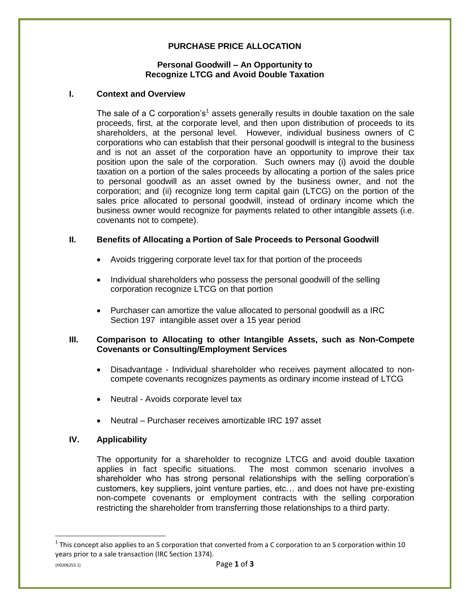# **PURCHASE PRICE ALLOCATION**

#### **Personal Goodwill – An Opportunity to Recognize LTCG and Avoid Double Taxation**

#### **I. Context and Overview**

The sale of a C corporation's<sup>1</sup> assets generally results in double taxation on the sale proceeds, first, at the corporate level, and then upon distribution of proceeds to its shareholders, at the personal level. However, individual business owners of C corporations who can establish that their personal goodwill is integral to the business and is not an asset of the corporation have an opportunity to improve their tax position upon the sale of the corporation. Such owners may (i) avoid the double taxation on a portion of the sales proceeds by allocating a portion of the sales price to personal goodwill as an asset owned by the business owner, and not the corporation; and (ii) recognize long term capital gain (LTCG) on the portion of the sales price allocated to personal goodwill, instead of ordinary income which the business owner would recognize for payments related to other intangible assets (i.e. covenants not to compete).

### **II. Benefits of Allocating a Portion of Sale Proceeds to Personal Goodwill**

- Avoids triggering corporate level tax for that portion of the proceeds
- Individual shareholders who possess the personal goodwill of the selling corporation recognize LTCG on that portion
- Purchaser can amortize the value allocated to personal goodwill as a IRC Section 197 intangible asset over a 15 year period

#### **III. Comparison to Allocating to other Intangible Assets, such as Non-Compete Covenants or Consulting/Employment Services**

- Disadvantage Individual shareholder who receives payment allocated to noncompete covenants recognizes payments as ordinary income instead of LTCG
- Neutral Avoids corporate level tax
- Neutral Purchaser receives amortizable IRC 197 asset

### **IV. Applicability**

The opportunity for a shareholder to recognize LTCG and avoid double taxation applies in fact specific situations. The most common scenario involves a shareholder who has strong personal relationships with the selling corporation's customers, key suppliers, joint venture parties, etc… and does not have pre-existing non-compete covenants or employment contracts with the selling corporation restricting the shareholder from transferring those relationships to a third party.

 $\overline{\phantom{a}}$ 

 $^1$  This concept also applies to an S corporation that converted from a C corporation to an S corporation within 10 years prior to a sale transaction (IRC Section 1374).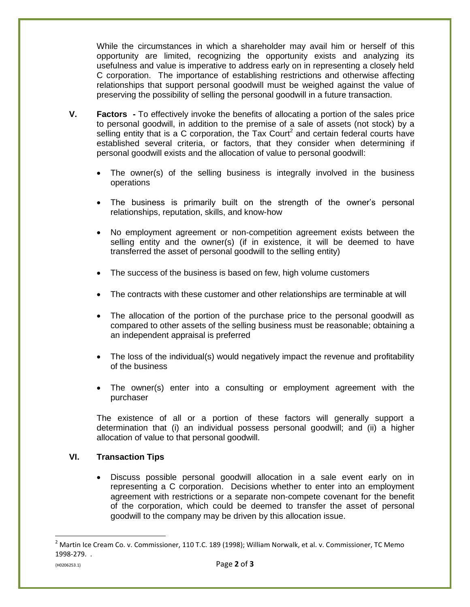While the circumstances in which a shareholder may avail him or herself of this opportunity are limited, recognizing the opportunity exists and analyzing its usefulness and value is imperative to address early on in representing a closely held C corporation. The importance of establishing restrictions and otherwise affecting relationships that support personal goodwill must be weighed against the value of preserving the possibility of selling the personal goodwill in a future transaction.

- **V. Factors -** To effectively invoke the benefits of allocating a portion of the sales price to personal goodwill, in addition to the premise of a sale of assets (not stock) by a selling entity that is a C corporation, the Tax Court<sup>2</sup> and certain federal courts have established several criteria, or factors, that they consider when determining if personal goodwill exists and the allocation of value to personal goodwill:
	- The owner(s) of the selling business is integrally involved in the business operations
	- The business is primarily built on the strength of the owner's personal relationships, reputation, skills, and know-how
	- No employment agreement or non-competition agreement exists between the selling entity and the owner(s) (if in existence, it will be deemed to have transferred the asset of personal goodwill to the selling entity)
	- The success of the business is based on few, high volume customers
	- The contracts with these customer and other relationships are terminable at will
	- The allocation of the portion of the purchase price to the personal goodwill as compared to other assets of the selling business must be reasonable; obtaining a an independent appraisal is preferred
	- The loss of the individual(s) would negatively impact the revenue and profitability of the business
	- The owner(s) enter into a consulting or employment agreement with the purchaser

The existence of all or a portion of these factors will generally support a determination that (i) an individual possess personal goodwill; and (ii) a higher allocation of value to that personal goodwill.

## **VI. Transaction Tips**

 Discuss possible personal goodwill allocation in a sale event early on in representing a C corporation. Decisions whether to enter into an employment agreement with restrictions or a separate non-compete covenant for the benefit of the corporation, which could be deemed to transfer the asset of personal goodwill to the company may be driven by this allocation issue.

 $\overline{\phantom{a}}$ 

 $^2$  Martin Ice Cream Co. v. Commissioner, 110 T.C. 189 (1998); William Norwalk, et al. v. Commissioner, TC Memo 1998-279. .